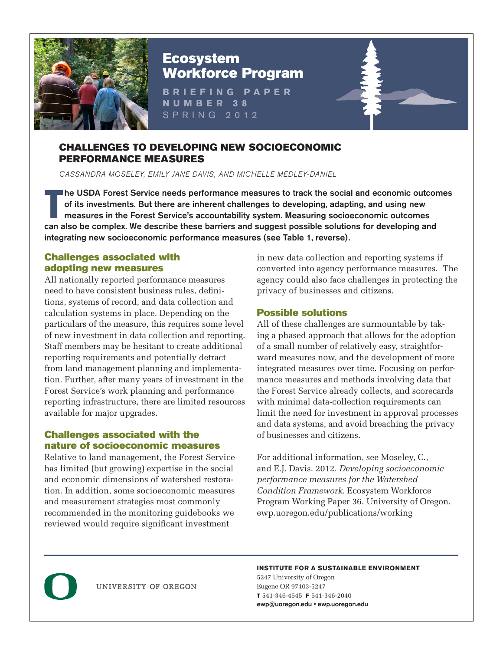

# Ecosystem Workforce Program

**BRIEFING PAPER NUMBER 38** SPRING 2012

#### CHALLENGES TO DEVELOPING NEW SOCIOECONOMIC PERFORMANCE MEASURES

CASSANDRA MOSELEY, EMILY JANE DAVIS, AND MICHELLE MEDLEY-DANIEL

The USDA Forest Service needs performance measures to track the social and economic outcom<br>of its investments. But there are inherent challenges to developing, adapting, and using new<br>measures in the Forest Service's accou he USDA Forest Service needs performance measures to track the social and economic outcomes of its investments. But there are inherent challenges to developing, adapting, and using new measures in the Forest Service's accountability system. Measuring socioeconomic outcomes integrating new socioeconomic performance measures (see Table 1, reverse).

## Challenges associated with adopting new measures

All nationally reported performance measures need to have consistent business rules, definitions, systems of record, and data collection and calculation systems in place. Depending on the particulars of the measure, this requires some level of new investment in data collection and reporting. Staff members may be hesitant to create additional reporting requirements and potentially detract from land management planning and implementation. Further, after many years of investment in the Forest Service's work planning and performance reporting infrastructure, there are limited resources available for major upgrades.

### Challenges associated with the nature of socioeconomic measures

Relative to land management, the Forest Service has limited (but growing) expertise in the social and economic dimensions of watershed restoration. In addition, some socioeconomic measures and measurement strategies most commonly recommended in the monitoring guidebooks we reviewed would require significant investment

in new data collection and reporting systems if converted into agency performance measures. The agency could also face challenges in protecting the privacy of businesses and citizens.

# Possible solutions

All of these challenges are surmountable by taking a phased approach that allows for the adoption of a small number of relatively easy, straightforward measures now, and the development of more integrated measures over time. Focusing on performance measures and methods involving data that the Forest Service already collects, and scorecards with minimal data-collection requirements can limit the need for investment in approval processes and data systems, and avoid breaching the privacy of businesses and citizens.

For additional information, see Moseley, C., and E.J. Davis. 2012. *Developing socioeconomic performance measures for the Watershed Condition Framework*. Ecosystem Workforce Program Working Paper 36. University of Oregon. ewp.uoregon.edu/publications/working



UNIVERSITY OF OREGON

#### **INSTITUTE FOR A SUSTAINABLE ENVIRONMENT**

5247 University of Oregon Eugene OR 97403-5247 **T** 541-346-4545 **F** 541-346-2040 ewp@uoregon.edu • ewp.uoregon.edu